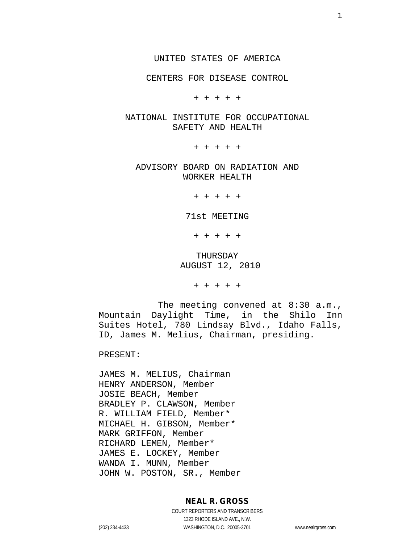CENTERS FOR DISEASE CONTROL

+ + + + +

#### NATIONAL INSTITUTE FOR OCCUPATIONAL SAFETY AND HEALTH

+ + + + +

ADVISORY BOARD ON RADIATION AND WORKER HEALTH

+ + + + +

71st MEETING

+ + + + +

THURSDAY AUGUST 12, 2010

+ + + + +

The meeting convened at 8:30 a.m., Mountain Daylight Time, in the Shilo Inn Suites Hotel, 780 Lindsay Blvd., Idaho Falls, ID, James M. Melius, Chairman, presiding.

PRESENT:

JAMES M. MELIUS, Chairman HENRY ANDERSON, Member JOSIE BEACH, Member BRADLEY P. CLAWSON, Member R. WILLIAM FIELD, Member\* MICHAEL H. GIBSON, Member\* MARK GRIFFON, Member RICHARD LEMEN, Member\* JAMES E. LOCKEY, Member WANDA I. MUNN, Member JOHN W. POSTON, SR., Member

#### **NEAL R. GROSS**

COURT REPORTERS AND TRANSCRIBERS 1323 RHODE ISLAND AVE., N.W. (202) 234-4433 WASHINGTON, D.C. 20005-3701 www.nealrgross.com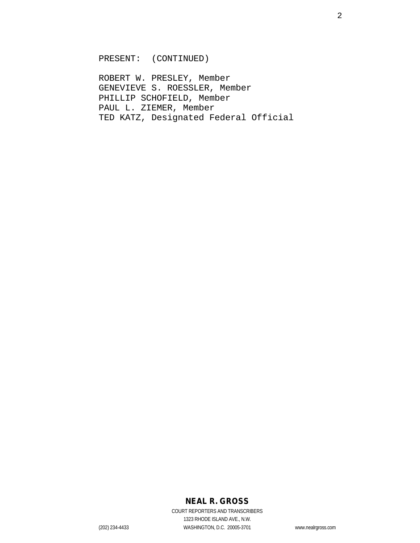PRESENT: (CONTINUED)

ROBERT W. PRESLEY, Member GENEVIEVE S. ROESSLER, Member PHILLIP SCHOFIELD, Member PAUL L. ZIEMER, Member TED KATZ, Designated Federal Official

#### **NEAL R. GROSS**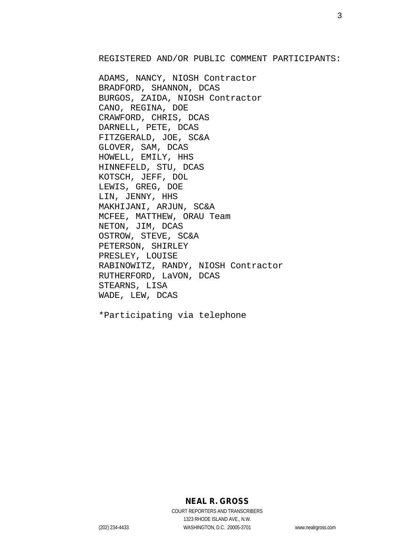REGISTERED AND/OR PUBLIC COMMENT PARTICIPANTS:

ADAMS, NANCY, NIOSH Contractor BRADFORD, SHANNON, DCAS BURGOS, ZAIDA, NIOSH Contractor CANO, REGINA, DOE CRAWFORD, CHRIS, DCAS DARNELL, PETE, DCAS FITZGERALD, JOE, SC&A GLOVER, SAM, DCAS HOWELL, EMILY, HHS HINNEFELD, STU, DCAS KOTSCH, JEFF, DOL LEWIS, GREG, DOE LIN, JENNY, HHS MAKHIJANI, ARJUN, SC&A MCFEE, MATTHEW, ORAU Team NETON, JIM, DCAS OSTROW, STEVE, SC&A PETERSON, SHIRLEY PRESLEY, LOUISE RABINOWITZ, RANDY, NIOSH Contractor RUTHERFORD, LaVON, DCAS STEARNS, LISA WADE, LEW, DCAS

\*Participating via telephone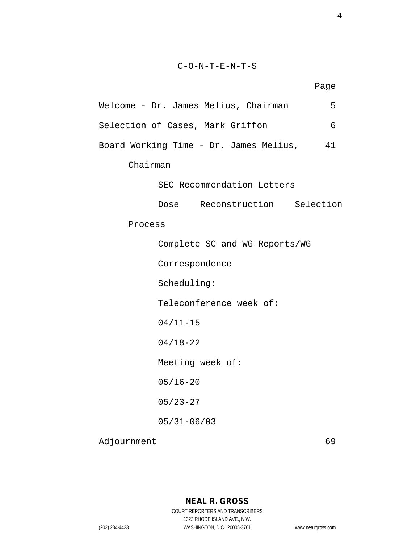#### C-O-N-T-E-N-T-S

Page

| Welcome - Dr. James Melius, Chairman   | 5  |
|----------------------------------------|----|
| Selection of Cases, Mark Griffon       | 6  |
| Board Working Time - Dr. James Melius, | 41 |
| Chairman                               |    |
| SEC Recommendation Letters             |    |
| Dose Reconstruction Selection          |    |
| Process                                |    |
| Complete SC and WG Reports/WG          |    |
| Correspondence                         |    |
| Scheduling:                            |    |
| Teleconference week of:                |    |
| $04/11 - 15$                           |    |

04/18-22

Meeting week of:

05/16-20

05/23-27

05/31-06/03

Adjournment 69

### **NEAL R. GROSS** COURT REPORTERS AND TRANSCRIBERS 1323 RHODE ISLAND AVE., N.W.

(202) 234-4433 WASHINGTON, D.C. 20005-3701 www.nealrgross.com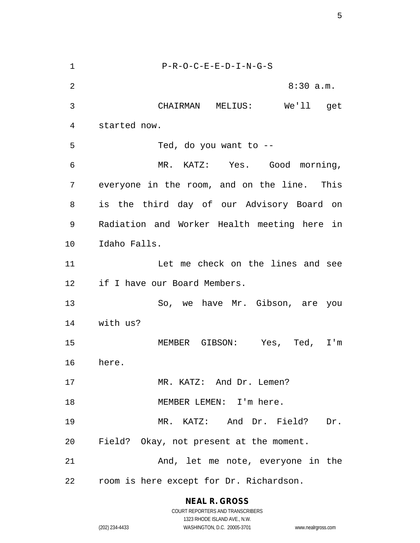P-R-O-C-E-E-D-I-N-G-S 2 8:30 a.m. CHAIRMAN MELIUS: We'll get started now. Ted, do you want to -- MR. KATZ: Yes. Good morning, everyone in the room, and on the line. This is the third day of our Advisory Board on Radiation and Worker Health meeting here in Idaho Falls. Let me check on the lines and see if I have our Board Members. So, we have Mr. Gibson, are you with us? MEMBER GIBSON: Yes, Ted, I'm here. 17 MR. KATZ: And Dr. Lemen? 18 MEMBER LEMEN: I'm here. MR. KATZ: And Dr. Field? Dr. Field? Okay, not present at the moment. And, let me note, everyone in the room is here except for Dr. Richardson.

**NEAL R. GROSS**

COURT REPORTERS AND TRANSCRIBERS 1323 RHODE ISLAND AVE., N.W. (202) 234-4433 WASHINGTON, D.C. 20005-3701 www.nealrgross.com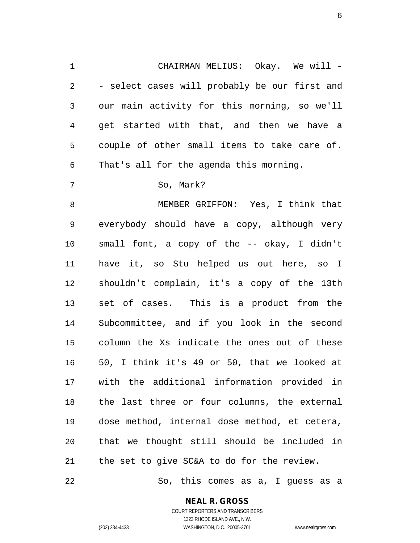CHAIRMAN MELIUS: Okay. We will - - select cases will probably be our first and our main activity for this morning, so we'll get started with that, and then we have a couple of other small items to take care of. That's all for the agenda this morning.

7 So, Mark?

 MEMBER GRIFFON: Yes, I think that everybody should have a copy, although very small font, a copy of the -- okay, I didn't have it, so Stu helped us out here, so I shouldn't complain, it's a copy of the 13th set of cases. This is a product from the Subcommittee, and if you look in the second column the Xs indicate the ones out of these 50, I think it's 49 or 50, that we looked at with the additional information provided in the last three or four columns, the external dose method, internal dose method, et cetera, that we thought still should be included in the set to give SC&A to do for the review.

So, this comes as a, I guess as a

#### **NEAL R. GROSS**

COURT REPORTERS AND TRANSCRIBERS 1323 RHODE ISLAND AVE., N.W. (202) 234-4433 WASHINGTON, D.C. 20005-3701 www.nealrgross.com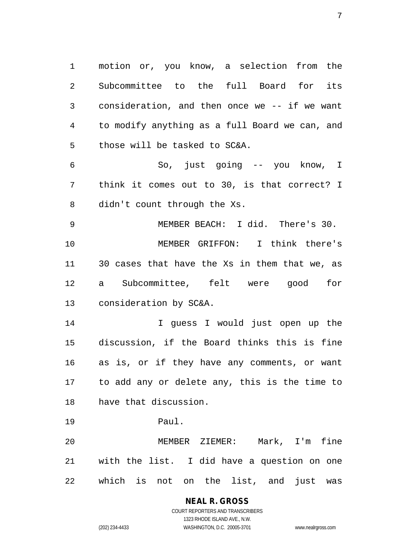motion or, you know, a selection from the Subcommittee to the full Board for its consideration, and then once we -- if we want to modify anything as a full Board we can, and those will be tasked to SC&A. So, just going -- you know, I

 think it comes out to 30, is that correct? I didn't count through the Xs.

 MEMBER BEACH: I did. There's 30. MEMBER GRIFFON: I think there's 30 cases that have the Xs in them that we, as a Subcommittee, felt were good for consideration by SC&A.

 I guess I would just open up the discussion, if the Board thinks this is fine as is, or if they have any comments, or want to add any or delete any, this is the time to have that discussion.

Paul.

 MEMBER ZIEMER: Mark, I'm fine with the list. I did have a question on one which is not on the list, and just was

#### **NEAL R. GROSS** COURT REPORTERS AND TRANSCRIBERS

1323 RHODE ISLAND AVE., N.W. (202) 234-4433 WASHINGTON, D.C. 20005-3701 www.nealrgross.com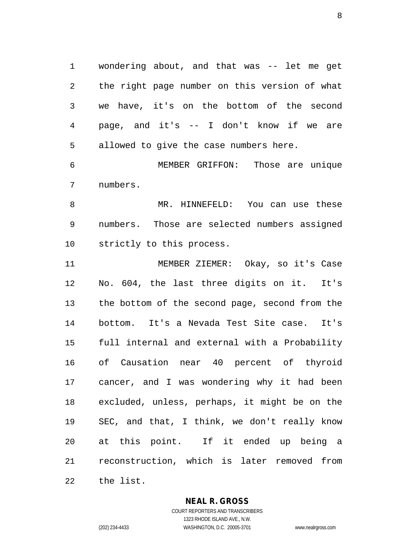wondering about, and that was -- let me get the right page number on this version of what we have, it's on the bottom of the second page, and it's -- I don't know if we are allowed to give the case numbers here.

 MEMBER GRIFFON: Those are unique numbers.

 MR. HINNEFELD: You can use these numbers. Those are selected numbers assigned strictly to this process.

 MEMBER ZIEMER: Okay, so it's Case No. 604, the last three digits on it. It's the bottom of the second page, second from the bottom. It's a Nevada Test Site case. It's full internal and external with a Probability of Causation near 40 percent of thyroid cancer, and I was wondering why it had been excluded, unless, perhaps, it might be on the SEC, and that, I think, we don't really know at this point. If it ended up being a reconstruction, which is later removed from the list.

**NEAL R. GROSS**

COURT REPORTERS AND TRANSCRIBERS 1323 RHODE ISLAND AVE., N.W. (202) 234-4433 WASHINGTON, D.C. 20005-3701 www.nealrgross.com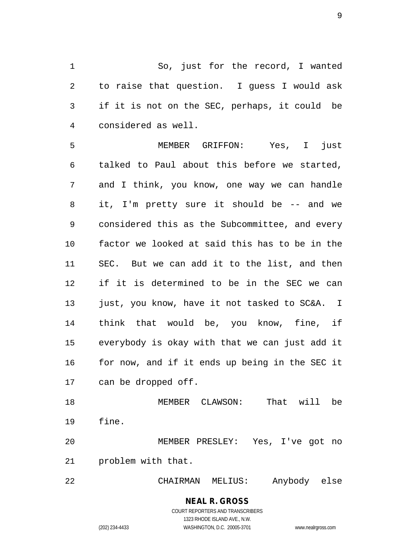So, just for the record, I wanted to raise that question. I guess I would ask if it is not on the SEC, perhaps, it could be considered as well.

 MEMBER GRIFFON: Yes, I just talked to Paul about this before we started, and I think, you know, one way we can handle it, I'm pretty sure it should be -- and we considered this as the Subcommittee, and every factor we looked at said this has to be in the SEC. But we can add it to the list, and then if it is determined to be in the SEC we can just, you know, have it not tasked to SC&A. I think that would be, you know, fine, if everybody is okay with that we can just add it for now, and if it ends up being in the SEC it can be dropped off.

 MEMBER CLAWSON: That will be fine.

 MEMBER PRESLEY: Yes, I've got no problem with that.

CHAIRMAN MELIUS: Anybody else

#### **NEAL R. GROSS** COURT REPORTERS AND TRANSCRIBERS 1323 RHODE ISLAND AVE., N.W.

(202) 234-4433 WASHINGTON, D.C. 20005-3701 www.nealrgross.com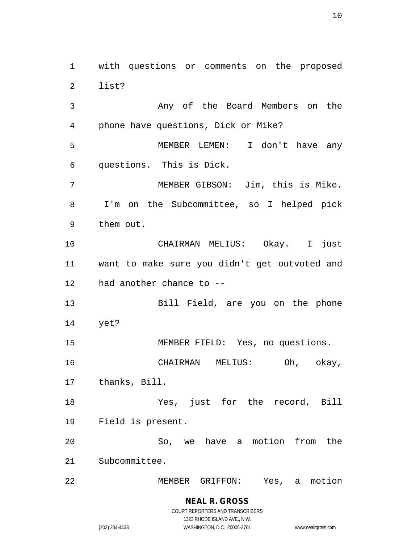with questions or comments on the proposed list?

 Any of the Board Members on the phone have questions, Dick or Mike? MEMBER LEMEN: I don't have any questions. This is Dick. MEMBER GIBSON: Jim, this is Mike. I'm on the Subcommittee, so I helped pick them out. CHAIRMAN MELIUS: Okay. I just want to make sure you didn't get outvoted and had another chance to -- Bill Field, are you on the phone yet? MEMBER FIELD: Yes, no questions. CHAIRMAN MELIUS: Oh, okay, thanks, Bill. Yes, just for the record, Bill Field is present. So, we have a motion from the Subcommittee. MEMBER GRIFFON: Yes, a motion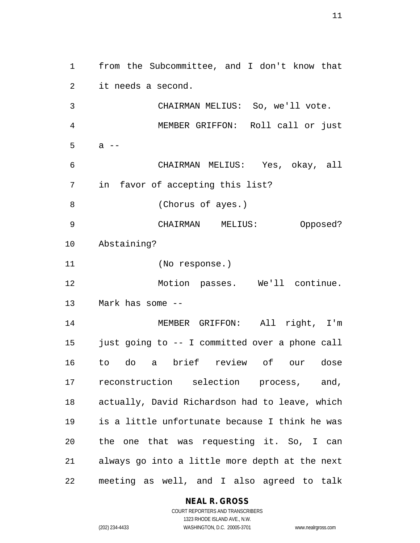from the Subcommittee, and I don't know that it needs a second. CHAIRMAN MELIUS: So, we'll vote. MEMBER GRIFFON: Roll call or just a  $-$  CHAIRMAN MELIUS: Yes, okay, all in favor of accepting this list? (Chorus of ayes.) CHAIRMAN MELIUS: Opposed? Abstaining? (No response.) Motion passes. We'll continue. Mark has some -- MEMBER GRIFFON: All right, I'm just going to -- I committed over a phone call to do a brief review of our dose reconstruction selection process, and, actually, David Richardson had to leave, which is a little unfortunate because I think he was the one that was requesting it. So, I can always go into a little more depth at the next meeting as well, and I also agreed to talk

#### **NEAL R. GROSS**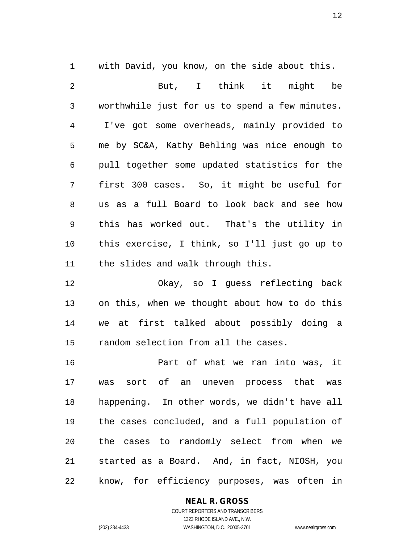with David, you know, on the side about this. But, I think it might be worthwhile just for us to spend a few minutes. I've got some overheads, mainly provided to me by SC&A, Kathy Behling was nice enough to pull together some updated statistics for the first 300 cases. So, it might be useful for us as a full Board to look back and see how this has worked out. That's the utility in this exercise, I think, so I'll just go up to the slides and walk through this.

 Okay, so I guess reflecting back on this, when we thought about how to do this we at first talked about possibly doing a random selection from all the cases.

 Part of what we ran into was, it was sort of an uneven process that was happening. In other words, we didn't have all the cases concluded, and a full population of the cases to randomly select from when we started as a Board. And, in fact, NIOSH, you know, for efficiency purposes, was often in

**NEAL R. GROSS**

COURT REPORTERS AND TRANSCRIBERS 1323 RHODE ISLAND AVE., N.W. (202) 234-4433 WASHINGTON, D.C. 20005-3701 www.nealrgross.com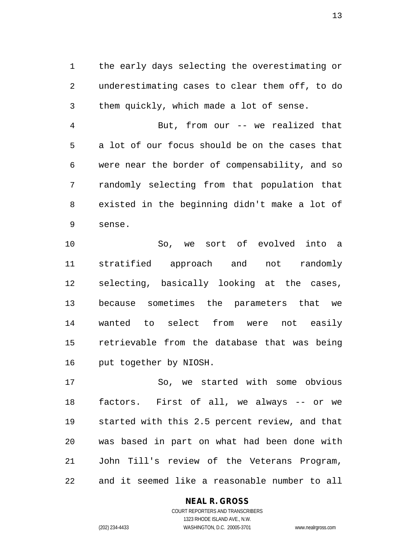the early days selecting the overestimating or underestimating cases to clear them off, to do them quickly, which made a lot of sense.

 But, from our -- we realized that a lot of our focus should be on the cases that were near the border of compensability, and so randomly selecting from that population that existed in the beginning didn't make a lot of sense.

 So, we sort of evolved into a stratified approach and not randomly selecting, basically looking at the cases, because sometimes the parameters that we wanted to select from were not easily retrievable from the database that was being put together by NIOSH.

 So, we started with some obvious factors. First of all, we always -- or we started with this 2.5 percent review, and that was based in part on what had been done with John Till's review of the Veterans Program, and it seemed like a reasonable number to all

#### **NEAL R. GROSS**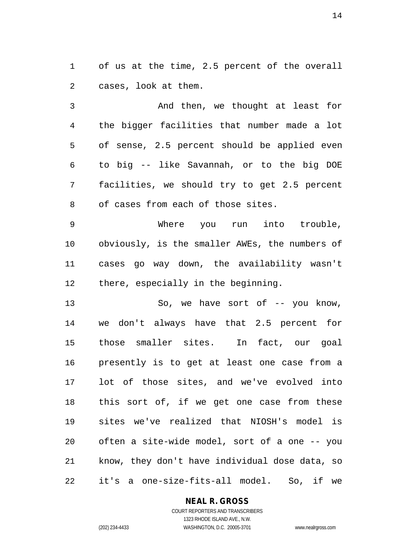of us at the time, 2.5 percent of the overall cases, look at them.

 And then, we thought at least for the bigger facilities that number made a lot of sense, 2.5 percent should be applied even to big -- like Savannah, or to the big DOE facilities, we should try to get 2.5 percent of cases from each of those sites.

 Where you run into trouble, obviously, is the smaller AWEs, the numbers of cases go way down, the availability wasn't there, especially in the beginning.

13 So, we have sort of  $--$  you know, we don't always have that 2.5 percent for those smaller sites. In fact, our goal presently is to get at least one case from a lot of those sites, and we've evolved into this sort of, if we get one case from these sites we've realized that NIOSH's model is often a site-wide model, sort of a one -- you know, they don't have individual dose data, so it's a one-size-fits-all model. So, if we

#### **NEAL R. GROSS** COURT REPORTERS AND TRANSCRIBERS

1323 RHODE ISLAND AVE., N.W. (202) 234-4433 WASHINGTON, D.C. 20005-3701 www.nealrgross.com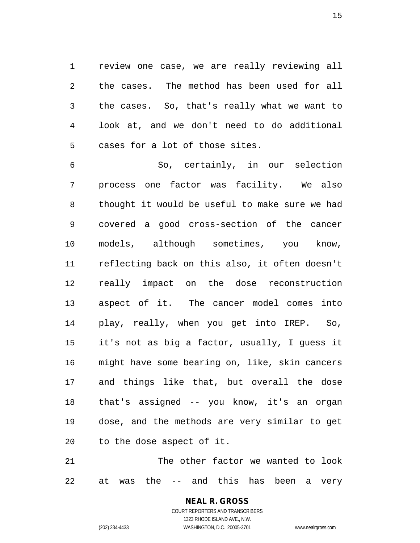review one case, we are really reviewing all the cases. The method has been used for all the cases. So, that's really what we want to look at, and we don't need to do additional cases for a lot of those sites.

 So, certainly, in our selection process one factor was facility. We also thought it would be useful to make sure we had covered a good cross-section of the cancer models, although sometimes, you know, reflecting back on this also, it often doesn't really impact on the dose reconstruction aspect of it. The cancer model comes into play, really, when you get into IREP. So, it's not as big a factor, usually, I guess it might have some bearing on, like, skin cancers and things like that, but overall the dose that's assigned -- you know, it's an organ dose, and the methods are very similar to get to the dose aspect of it.

 The other factor we wanted to look at was the -- and this has been a very

# **NEAL R. GROSS**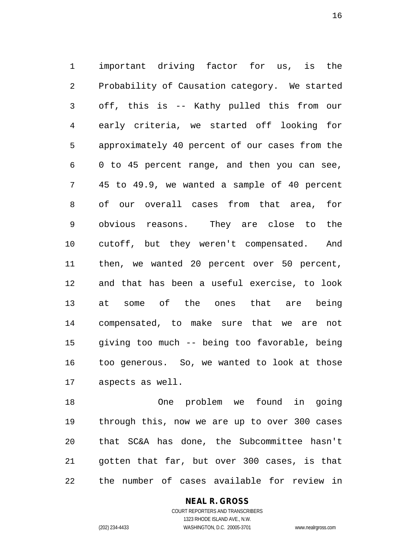important driving factor for us, is the Probability of Causation category. We started off, this is -- Kathy pulled this from our early criteria, we started off looking for approximately 40 percent of our cases from the 0 to 45 percent range, and then you can see, 45 to 49.9, we wanted a sample of 40 percent of our overall cases from that area, for obvious reasons. They are close to the cutoff, but they weren't compensated. And then, we wanted 20 percent over 50 percent, and that has been a useful exercise, to look at some of the ones that are being compensated, to make sure that we are not giving too much -- being too favorable, being too generous. So, we wanted to look at those aspects as well.

 One problem we found in going through this, now we are up to over 300 cases that SC&A has done, the Subcommittee hasn't gotten that far, but over 300 cases, is that the number of cases available for review in

**NEAL R. GROSS**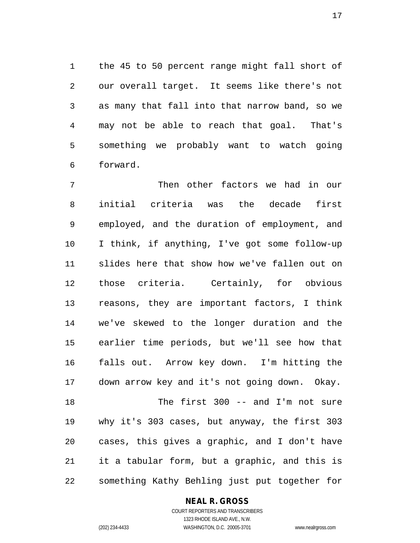the 45 to 50 percent range might fall short of our overall target. It seems like there's not as many that fall into that narrow band, so we may not be able to reach that goal. That's something we probably want to watch going forward.

 Then other factors we had in our initial criteria was the decade first employed, and the duration of employment, and I think, if anything, I've got some follow-up slides here that show how we've fallen out on those criteria. Certainly, for obvious reasons, they are important factors, I think we've skewed to the longer duration and the earlier time periods, but we'll see how that falls out. Arrow key down. I'm hitting the down arrow key and it's not going down. Okay. The first 300 -- and I'm not sure why it's 303 cases, but anyway, the first 303 cases, this gives a graphic, and I don't have it a tabular form, but a graphic, and this is something Kathy Behling just put together for

#### **NEAL R. GROSS**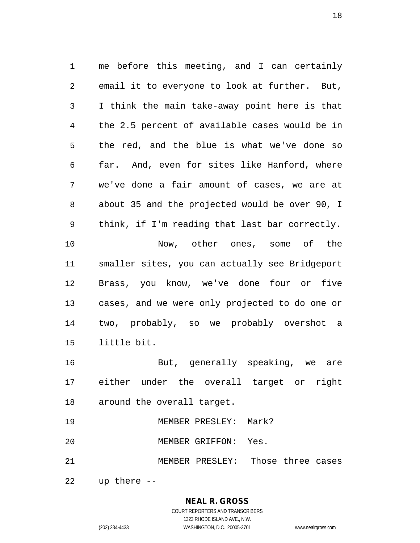me before this meeting, and I can certainly email it to everyone to look at further. But, I think the main take-away point here is that the 2.5 percent of available cases would be in the red, and the blue is what we've done so far. And, even for sites like Hanford, where we've done a fair amount of cases, we are at about 35 and the projected would be over 90, I think, if I'm reading that last bar correctly. Now, other ones, some of the smaller sites, you can actually see Bridgeport Brass, you know, we've done four or five cases, and we were only projected to do one or two, probably, so we probably overshot a little bit. But, generally speaking, we are

 either under the overall target or right around the overall target.

- MEMBER PRESLEY: Mark?
- MEMBER GRIFFON: Yes.
- MEMBER PRESLEY: Those three cases

up there --

**NEAL R. GROSS**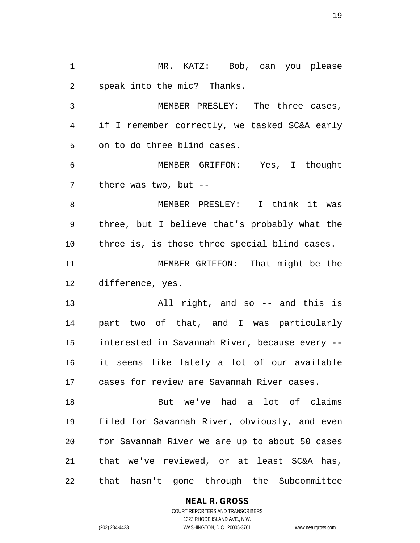MR. KATZ: Bob, can you please speak into the mic? Thanks. MEMBER PRESLEY: The three cases, if I remember correctly, we tasked SC&A early on to do three blind cases. MEMBER GRIFFON: Yes, I thought there was two, but -- MEMBER PRESLEY: I think it was three, but I believe that's probably what the three is, is those three special blind cases. MEMBER GRIFFON: That might be the difference, yes. All right, and so -- and this is part two of that, and I was particularly interested in Savannah River, because every -- it seems like lately a lot of our available cases for review are Savannah River cases. But we've had a lot of claims filed for Savannah River, obviously, and even for Savannah River we are up to about 50 cases that we've reviewed, or at least SC&A has, that hasn't gone through the Subcommittee

**NEAL R. GROSS**

COURT REPORTERS AND TRANSCRIBERS 1323 RHODE ISLAND AVE., N.W. (202) 234-4433 WASHINGTON, D.C. 20005-3701 www.nealrgross.com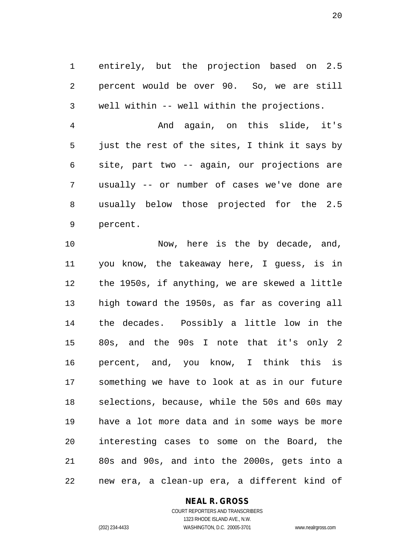entirely, but the projection based on 2.5 percent would be over 90. So, we are still well within -- well within the projections.

 And again, on this slide, it's just the rest of the sites, I think it says by site, part two -- again, our projections are usually -- or number of cases we've done are usually below those projected for the 2.5 percent.

10 Now, here is the by decade, and, you know, the takeaway here, I guess, is in the 1950s, if anything, we are skewed a little high toward the 1950s, as far as covering all the decades. Possibly a little low in the 80s, and the 90s I note that it's only 2 percent, and, you know, I think this is something we have to look at as in our future selections, because, while the 50s and 60s may have a lot more data and in some ways be more interesting cases to some on the Board, the 80s and 90s, and into the 2000s, gets into a new era, a clean-up era, a different kind of

#### **NEAL R. GROSS**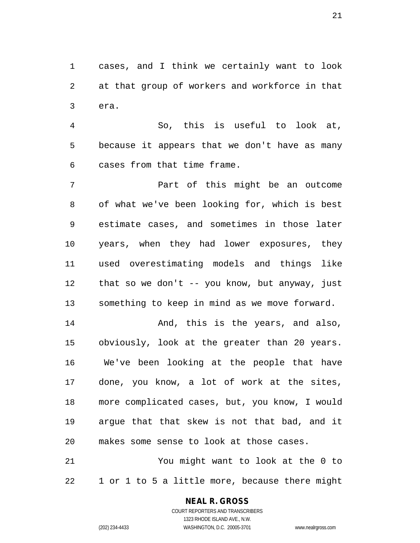cases, and I think we certainly want to look at that group of workers and workforce in that era.

 So, this is useful to look at, because it appears that we don't have as many cases from that time frame.

 Part of this might be an outcome of what we've been looking for, which is best estimate cases, and sometimes in those later years, when they had lower exposures, they used overestimating models and things like that so we don't -- you know, but anyway, just something to keep in mind as we move forward.

 And, this is the years, and also, obviously, look at the greater than 20 years. We've been looking at the people that have done, you know, a lot of work at the sites, more complicated cases, but, you know, I would argue that that skew is not that bad, and it makes some sense to look at those cases.

 You might want to look at the 0 to 1 or 1 to 5 a little more, because there might

#### **NEAL R. GROSS**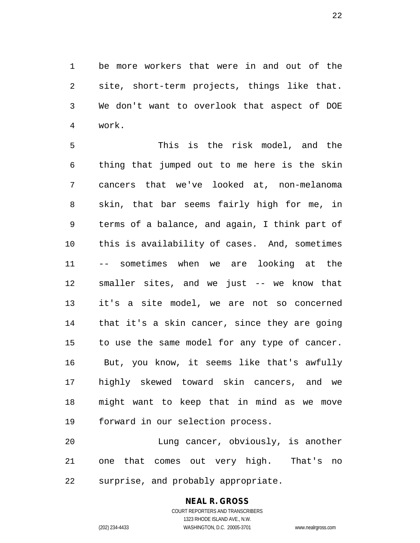be more workers that were in and out of the site, short-term projects, things like that. We don't want to overlook that aspect of DOE work.

 This is the risk model, and the thing that jumped out to me here is the skin cancers that we've looked at, non-melanoma skin, that bar seems fairly high for me, in terms of a balance, and again, I think part of this is availability of cases. And, sometimes -- sometimes when we are looking at the smaller sites, and we just -- we know that it's a site model, we are not so concerned that it's a skin cancer, since they are going to use the same model for any type of cancer. But, you know, it seems like that's awfully highly skewed toward skin cancers, and we might want to keep that in mind as we move forward in our selection process.

 Lung cancer, obviously, is another one that comes out very high. That's no surprise, and probably appropriate.

## **NEAL R. GROSS**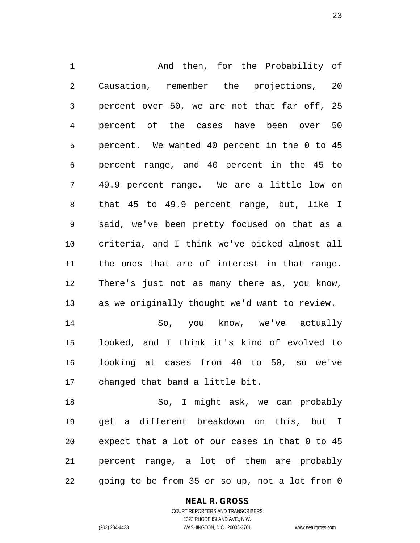And then, for the Probability of Causation, remember the projections, 20 percent over 50, we are not that far off, 25 percent of the cases have been over 50 percent. We wanted 40 percent in the 0 to 45 percent range, and 40 percent in the 45 to 49.9 percent range. We are a little low on that 45 to 49.9 percent range, but, like I said, we've been pretty focused on that as a criteria, and I think we've picked almost all the ones that are of interest in that range. There's just not as many there as, you know, as we originally thought we'd want to review. So, you know, we've actually looked, and I think it's kind of evolved to looking at cases from 40 to 50, so we've changed that band a little bit. So, I might ask, we can probably

 get a different breakdown on this, but I expect that a lot of our cases in that 0 to 45 percent range, a lot of them are probably going to be from 35 or so up, not a lot from 0

**NEAL R. GROSS**

COURT REPORTERS AND TRANSCRIBERS 1323 RHODE ISLAND AVE., N.W. (202) 234-4433 WASHINGTON, D.C. 20005-3701 www.nealrgross.com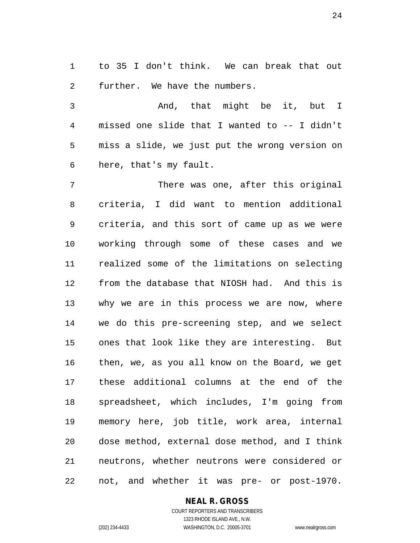to 35 I don't think. We can break that out further. We have the numbers.

 And, that might be it, but I missed one slide that I wanted to -- I didn't miss a slide, we just put the wrong version on here, that's my fault.

 There was one, after this original criteria, I did want to mention additional criteria, and this sort of came up as we were working through some of these cases and we realized some of the limitations on selecting from the database that NIOSH had. And this is why we are in this process we are now, where we do this pre-screening step, and we select ones that look like they are interesting. But then, we, as you all know on the Board, we get these additional columns at the end of the spreadsheet, which includes, I'm going from memory here, job title, work area, internal dose method, external dose method, and I think neutrons, whether neutrons were considered or not, and whether it was pre- or post-1970.

#### **NEAL R. GROSS**

COURT REPORTERS AND TRANSCRIBERS 1323 RHODE ISLAND AVE., N.W. (202) 234-4433 WASHINGTON, D.C. 20005-3701 www.nealrgross.com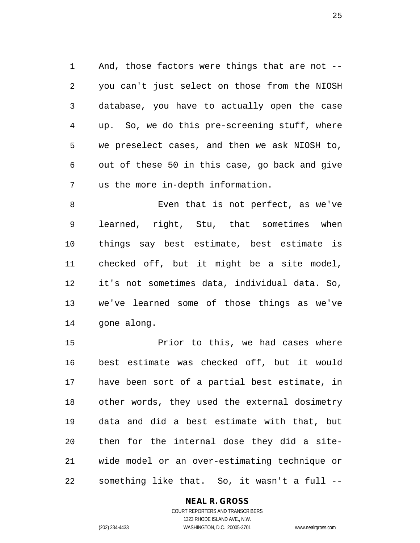And, those factors were things that are not -- you can't just select on those from the NIOSH database, you have to actually open the case up. So, we do this pre-screening stuff, where we preselect cases, and then we ask NIOSH to, out of these 50 in this case, go back and give us the more in-depth information.

 Even that is not perfect, as we've learned, right, Stu, that sometimes when things say best estimate, best estimate is checked off, but it might be a site model, it's not sometimes data, individual data. So, we've learned some of those things as we've gone along.

 Prior to this, we had cases where best estimate was checked off, but it would have been sort of a partial best estimate, in other words, they used the external dosimetry data and did a best estimate with that, but then for the internal dose they did a site- wide model or an over-estimating technique or something like that. So, it wasn't a full --

#### **NEAL R. GROSS**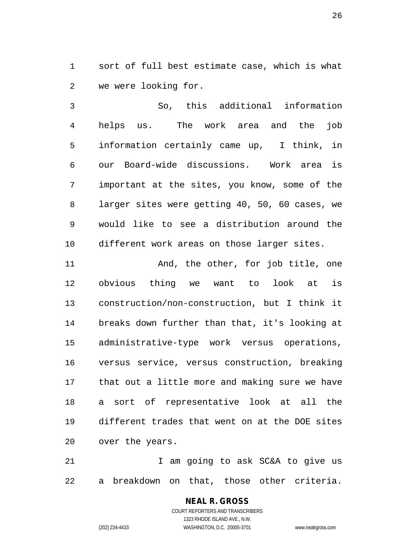sort of full best estimate case, which is what we were looking for.

 So, this additional information helps us. The work area and the job information certainly came up, I think, in our Board-wide discussions. Work area is important at the sites, you know, some of the larger sites were getting 40, 50, 60 cases, we would like to see a distribution around the different work areas on those larger sites.

11 And, the other, for job title, one obvious thing we want to look at is construction/non-construction, but I think it breaks down further than that, it's looking at administrative-type work versus operations, versus service, versus construction, breaking that out a little more and making sure we have a sort of representative look at all the different trades that went on at the DOE sites over the years.

 I am going to ask SC&A to give us a breakdown on that, those other criteria.

> **NEAL R. GROSS** COURT REPORTERS AND TRANSCRIBERS 1323 RHODE ISLAND AVE., N.W. (202) 234-4433 WASHINGTON, D.C. 20005-3701 www.nealrgross.com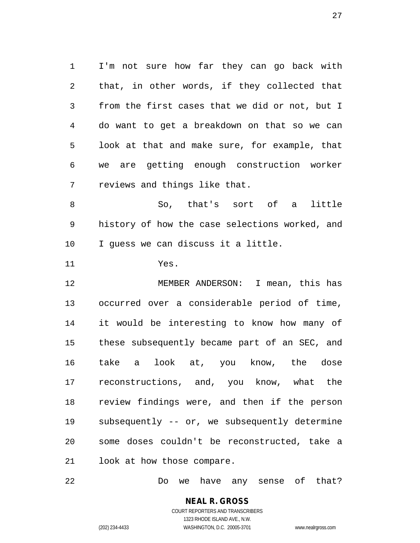I'm not sure how far they can go back with that, in other words, if they collected that from the first cases that we did or not, but I do want to get a breakdown on that so we can look at that and make sure, for example, that we are getting enough construction worker reviews and things like that.

 So, that's sort of a little history of how the case selections worked, and I guess we can discuss it a little.

Yes.

 MEMBER ANDERSON: I mean, this has occurred over a considerable period of time, it would be interesting to know how many of these subsequently became part of an SEC, and take a look at, you know, the dose reconstructions, and, you know, what the review findings were, and then if the person subsequently -- or, we subsequently determine some doses couldn't be reconstructed, take a look at how those compare.

Do we have any sense of that?

**NEAL R. GROSS** COURT REPORTERS AND TRANSCRIBERS 1323 RHODE ISLAND AVE., N.W.

(202) 234-4433 WASHINGTON, D.C. 20005-3701 www.nealrgross.com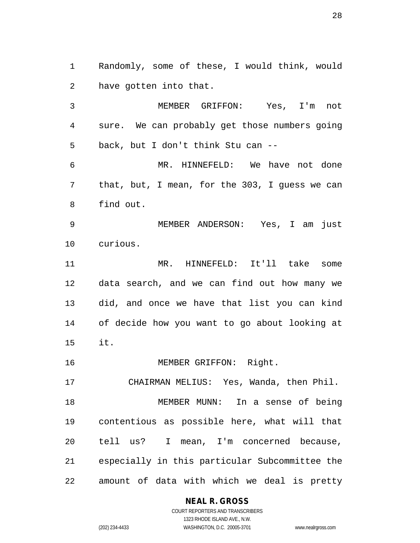Randomly, some of these, I would think, would have gotten into that.

 MEMBER GRIFFON: Yes, I'm not sure. We can probably get those numbers going back, but I don't think Stu can --

 MR. HINNEFELD: We have not done that, but, I mean, for the 303, I guess we can find out.

 MEMBER ANDERSON: Yes, I am just curious.

 MR. HINNEFELD: It'll take some data search, and we can find out how many we did, and once we have that list you can kind of decide how you want to go about looking at it.

16 MEMBER GRIFFON: Right.

 CHAIRMAN MELIUS: Yes, Wanda, then Phil. MEMBER MUNN: In a sense of being contentious as possible here, what will that tell us? I mean, I'm concerned because, especially in this particular Subcommittee the amount of data with which we deal is pretty

**NEAL R. GROSS**

COURT REPORTERS AND TRANSCRIBERS 1323 RHODE ISLAND AVE., N.W. (202) 234-4433 WASHINGTON, D.C. 20005-3701 www.nealrgross.com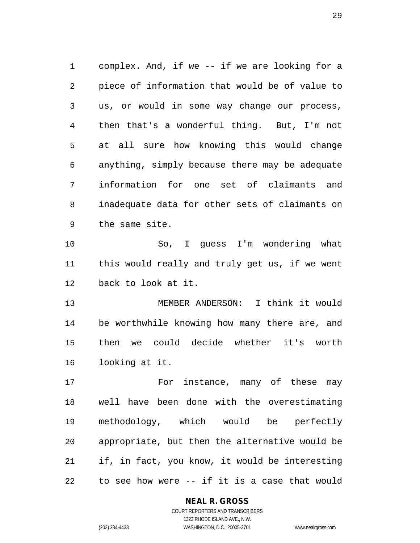complex. And, if we -- if we are looking for a piece of information that would be of value to us, or would in some way change our process, then that's a wonderful thing. But, I'm not at all sure how knowing this would change anything, simply because there may be adequate information for one set of claimants and inadequate data for other sets of claimants on the same site.

 So, I guess I'm wondering what this would really and truly get us, if we went back to look at it.

 MEMBER ANDERSON: I think it would be worthwhile knowing how many there are, and then we could decide whether it's worth looking at it.

17 For instance, many of these may well have been done with the overestimating methodology, which would be perfectly appropriate, but then the alternative would be if, in fact, you know, it would be interesting to see how were -- if it is a case that would

#### **NEAL R. GROSS**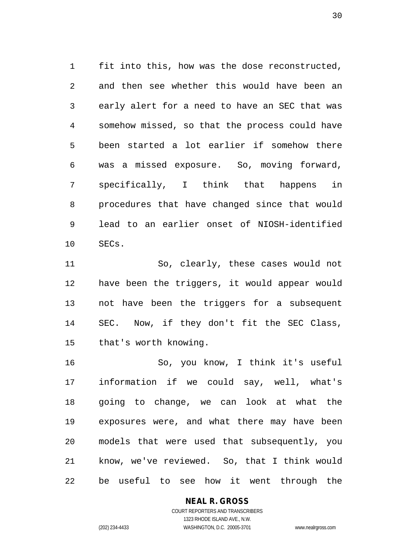fit into this, how was the dose reconstructed, and then see whether this would have been an early alert for a need to have an SEC that was somehow missed, so that the process could have been started a lot earlier if somehow there was a missed exposure. So, moving forward, specifically, I think that happens in procedures that have changed since that would lead to an earlier onset of NIOSH-identified SECs.

 So, clearly, these cases would not have been the triggers, it would appear would not have been the triggers for a subsequent SEC. Now, if they don't fit the SEC Class, that's worth knowing.

 So, you know, I think it's useful information if we could say, well, what's going to change, we can look at what the exposures were, and what there may have been models that were used that subsequently, you know, we've reviewed. So, that I think would be useful to see how it went through the

#### **NEAL R. GROSS**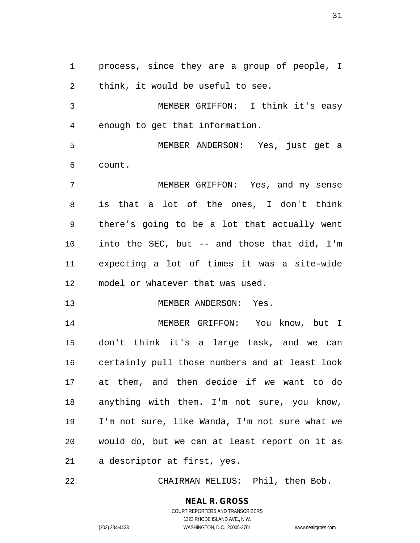process, since they are a group of people, I think, it would be useful to see.

 MEMBER GRIFFON: I think it's easy enough to get that information.

 MEMBER ANDERSON: Yes, just get a count.

 MEMBER GRIFFON: Yes, and my sense is that a lot of the ones, I don't think there's going to be a lot that actually went into the SEC, but -- and those that did, I'm expecting a lot of times it was a site-wide model or whatever that was used.

MEMBER ANDERSON: Yes.

 MEMBER GRIFFON: You know, but I don't think it's a large task, and we can certainly pull those numbers and at least look at them, and then decide if we want to do anything with them. I'm not sure, you know, I'm not sure, like Wanda, I'm not sure what we would do, but we can at least report on it as a descriptor at first, yes.

CHAIRMAN MELIUS: Phil, then Bob.

#### **NEAL R. GROSS**

COURT REPORTERS AND TRANSCRIBERS 1323 RHODE ISLAND AVE., N.W. (202) 234-4433 WASHINGTON, D.C. 20005-3701 www.nealrgross.com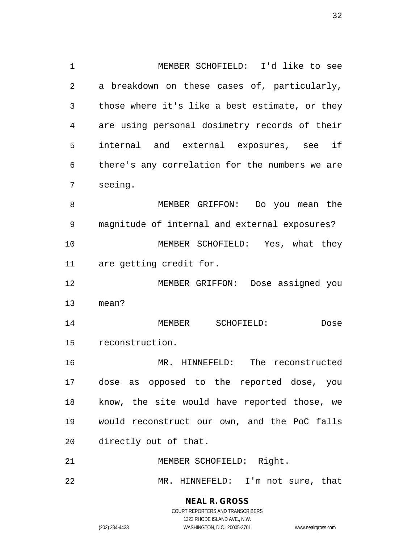MEMBER SCHOFIELD: I'd like to see a breakdown on these cases of, particularly, those where it's like a best estimate, or they are using personal dosimetry records of their internal and external exposures, see if there's any correlation for the numbers we are seeing.

 MEMBER GRIFFON: Do you mean the magnitude of internal and external exposures? MEMBER SCHOFIELD: Yes, what they are getting credit for.

 MEMBER GRIFFON: Dose assigned you mean?

 MEMBER SCHOFIELD: Dose reconstruction.

 MR. HINNEFELD: The reconstructed dose as opposed to the reported dose, you know, the site would have reported those, we would reconstruct our own, and the PoC falls directly out of that.

MEMBER SCHOFIELD: Right.

MR. HINNEFELD: I'm not sure, that

**NEAL R. GROSS** COURT REPORTERS AND TRANSCRIBERS

1323 RHODE ISLAND AVE., N.W. (202) 234-4433 WASHINGTON, D.C. 20005-3701 www.nealrgross.com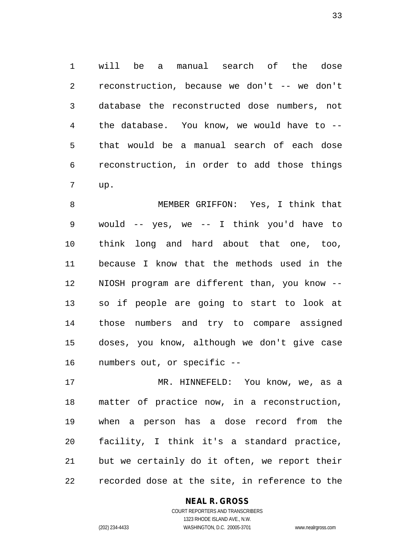will be a manual search of the dose reconstruction, because we don't -- we don't database the reconstructed dose numbers, not the database. You know, we would have to -- that would be a manual search of each dose reconstruction, in order to add those things up.

 MEMBER GRIFFON: Yes, I think that would -- yes, we -- I think you'd have to think long and hard about that one, too, because I know that the methods used in the NIOSH program are different than, you know -- so if people are going to start to look at those numbers and try to compare assigned doses, you know, although we don't give case numbers out, or specific --

 MR. HINNEFELD: You know, we, as a matter of practice now, in a reconstruction, when a person has a dose record from the facility, I think it's a standard practice, but we certainly do it often, we report their recorded dose at the site, in reference to the

#### **NEAL R. GROSS**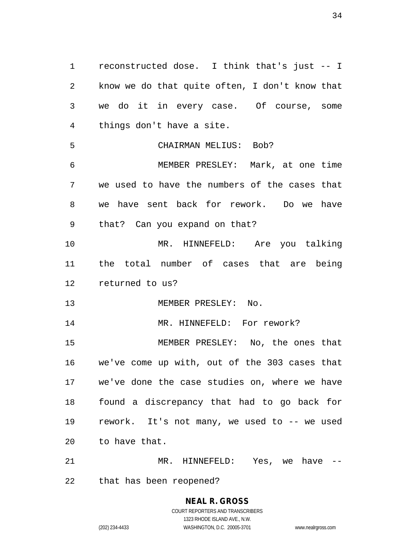reconstructed dose. I think that's just -- I know we do that quite often, I don't know that we do it in every case. Of course, some things don't have a site. CHAIRMAN MELIUS: Bob? MEMBER PRESLEY: Mark, at one time we used to have the numbers of the cases that we have sent back for rework. Do we have that? Can you expand on that? MR. HINNEFELD: Are you talking the total number of cases that are being returned to us? 13 MEMBER PRESLEY: No. 14 MR. HINNEFELD: For rework? MEMBER PRESLEY: No, the ones that we've come up with, out of the 303 cases that we've done the case studies on, where we have found a discrepancy that had to go back for rework. It's not many, we used to -- we used to have that. MR. HINNEFELD: Yes, we have --

that has been reopened?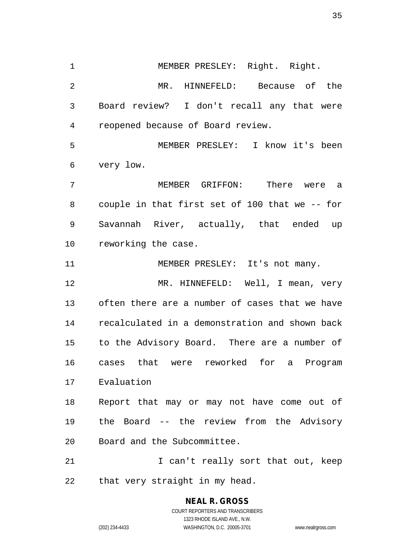1 MEMBER PRESLEY: Right. Right. MR. HINNEFELD: Because of the Board review? I don't recall any that were reopened because of Board review. MEMBER PRESLEY: I know it's been very low. MEMBER GRIFFON: There were a couple in that first set of 100 that we -- for Savannah River, actually, that ended up reworking the case.

11 MEMBER PRESLEY: It's not many.

12 MR. HINNEFELD: Well, I mean, very often there are a number of cases that we have recalculated in a demonstration and shown back to the Advisory Board. There are a number of cases that were reworked for a Program Evaluation

 Report that may or may not have come out of the Board -- the review from the Advisory Board and the Subcommittee.

21 I can't really sort that out, keep that very straight in my head.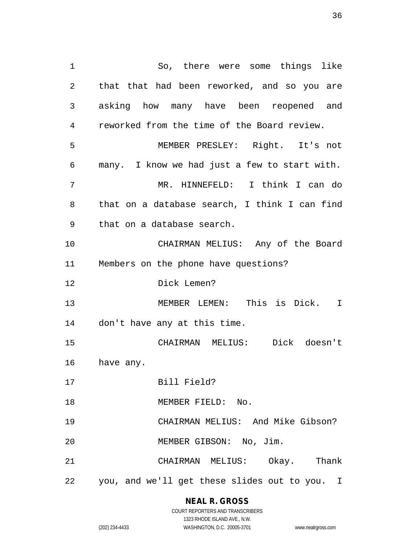So, there were some things like that that had been reworked, and so you are asking how many have been reopened and reworked from the time of the Board review. MEMBER PRESLEY: Right. It's not many. I know we had just a few to start with. MR. HINNEFELD: I think I can do that on a database search, I think I can find that on a database search. CHAIRMAN MELIUS: Any of the Board Members on the phone have questions? Dick Lemen? MEMBER LEMEN: This is Dick. I don't have any at this time. CHAIRMAN MELIUS: Dick doesn't have any. Bill Field? 18 MEMBER FIELD: No. CHAIRMAN MELIUS: And Mike Gibson? MEMBER GIBSON: No, Jim. CHAIRMAN MELIUS: Okay. Thank you, and we'll get these slides out to you. I

## **NEAL R. GROSS**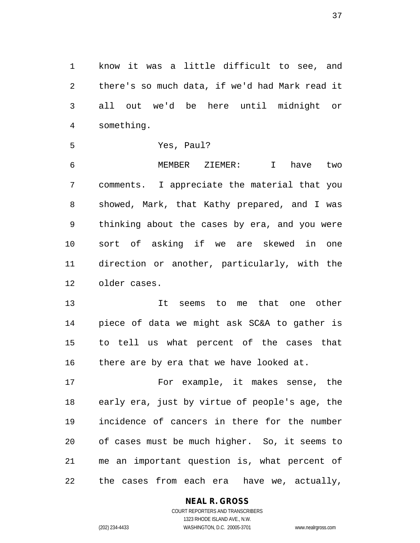know it was a little difficult to see, and there's so much data, if we'd had Mark read it all out we'd be here until midnight or something.

```
5 Yes, Paul?
```
 MEMBER ZIEMER: I have two comments. I appreciate the material that you showed, Mark, that Kathy prepared, and I was thinking about the cases by era, and you were sort of asking if we are skewed in one direction or another, particularly, with the older cases.

 It seems to me that one other piece of data we might ask SC&A to gather is to tell us what percent of the cases that 16 there are by era that we have looked at.

 For example, it makes sense, the early era, just by virtue of people's age, the incidence of cancers in there for the number of cases must be much higher. So, it seems to me an important question is, what percent of the cases from each era have we, actually,

#### **NEAL R. GROSS**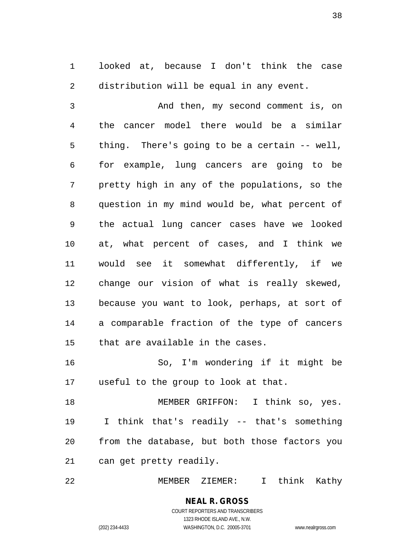looked at, because I don't think the case distribution will be equal in any event.

 And then, my second comment is, on the cancer model there would be a similar thing. There's going to be a certain -- well, for example, lung cancers are going to be pretty high in any of the populations, so the question in my mind would be, what percent of the actual lung cancer cases have we looked at, what percent of cases, and I think we would see it somewhat differently, if we change our vision of what is really skewed, because you want to look, perhaps, at sort of a comparable fraction of the type of cancers that are available in the cases.

 So, I'm wondering if it might be useful to the group to look at that.

 MEMBER GRIFFON: I think so, yes. I think that's readily -- that's something from the database, but both those factors you can get pretty readily.

MEMBER ZIEMER: I think Kathy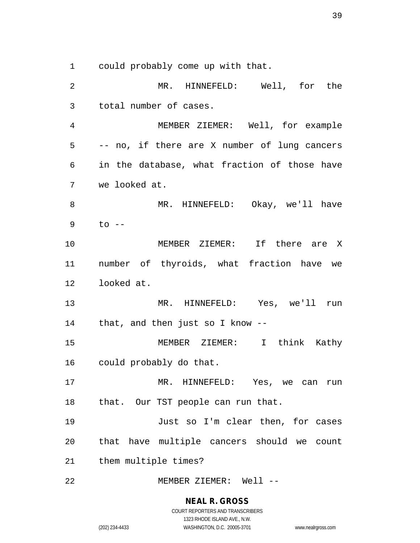could probably come up with that.

 MR. HINNEFELD: Well, for the total number of cases. MEMBER ZIEMER: Well, for example -- no, if there are X number of lung cancers in the database, what fraction of those have we looked at. MR. HINNEFELD: Okay, we'll have to -- MEMBER ZIEMER: If there are X number of thyroids, what fraction have we looked at. MR. HINNEFELD: Yes, we'll run that, and then just so I know -- MEMBER ZIEMER: I think Kathy could probably do that. MR. HINNEFELD: Yes, we can run 18 that. Our TST people can run that. Just so I'm clear then, for cases that have multiple cancers should we count them multiple times? MEMBER ZIEMER: Well --

#### **NEAL R. GROSS**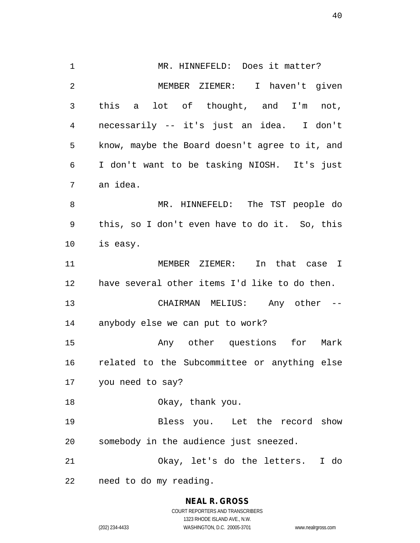MR. HINNEFELD: Does it matter? MEMBER ZIEMER: I haven't given this a lot of thought, and I'm not, necessarily -- it's just an idea. I don't know, maybe the Board doesn't agree to it, and I don't want to be tasking NIOSH. It's just an idea. MR. HINNEFELD: The TST people do this, so I don't even have to do it. So, this is easy. MEMBER ZIEMER: In that case I have several other items I'd like to do then. CHAIRMAN MELIUS: Any other -- anybody else we can put to work? Any other questions for Mark related to the Subcommittee or anything else you need to say? 18 Okay, thank you. Bless you. Let the record show somebody in the audience just sneezed. Okay, let's do the letters. I do need to do my reading.

> **NEAL R. GROSS** COURT REPORTERS AND TRANSCRIBERS

> > 1323 RHODE ISLAND AVE., N.W.

(202) 234-4433 WASHINGTON, D.C. 20005-3701 www.nealrgross.com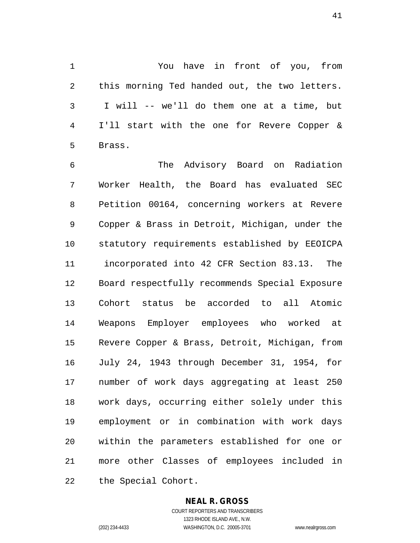You have in front of you, from this morning Ted handed out, the two letters. I will -- we'll do them one at a time, but I'll start with the one for Revere Copper & Brass.

 The Advisory Board on Radiation Worker Health, the Board has evaluated SEC Petition 00164, concerning workers at Revere Copper & Brass in Detroit, Michigan, under the statutory requirements established by EEOICPA incorporated into 42 CFR Section 83.13. The Board respectfully recommends Special Exposure Cohort status be accorded to all Atomic Weapons Employer employees who worked at Revere Copper & Brass, Detroit, Michigan, from July 24, 1943 through December 31, 1954, for number of work days aggregating at least 250 work days, occurring either solely under this employment or in combination with work days within the parameters established for one or more other Classes of employees included in the Special Cohort.

#### **NEAL R. GROSS**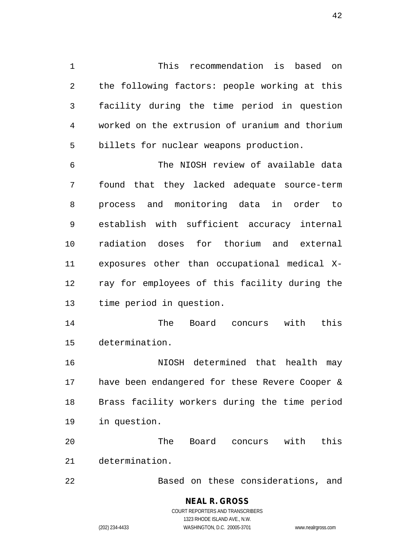This recommendation is based on the following factors: people working at this facility during the time period in question worked on the extrusion of uranium and thorium billets for nuclear weapons production.

 The NIOSH review of available data found that they lacked adequate source-term process and monitoring data in order to establish with sufficient accuracy internal radiation doses for thorium and external exposures other than occupational medical X- ray for employees of this facility during the time period in question.

 The Board concurs with this determination.

 NIOSH determined that health may have been endangered for these Revere Cooper & Brass facility workers during the time period in question.

 The Board concurs with this determination.

Based on these considerations, and

**NEAL R. GROSS** COURT REPORTERS AND TRANSCRIBERS 1323 RHODE ISLAND AVE., N.W. (202) 234-4433 WASHINGTON, D.C. 20005-3701 www.nealrgross.com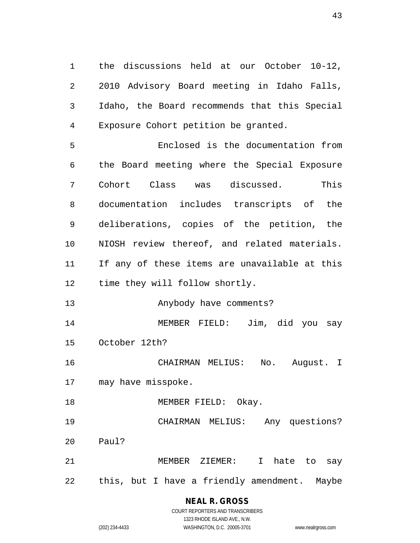the discussions held at our October 10-12, 2010 Advisory Board meeting in Idaho Falls, Idaho, the Board recommends that this Special Exposure Cohort petition be granted.

 Enclosed is the documentation from the Board meeting where the Special Exposure Cohort Class was discussed. This documentation includes transcripts of the deliberations, copies of the petition, the NIOSH review thereof, and related materials. If any of these items are unavailable at this time they will follow shortly. Anybody have comments? MEMBER FIELD: Jim, did you say October 12th?

 CHAIRMAN MELIUS: No. August. I may have misspoke.

18 MEMBER FIELD: Okay.

 CHAIRMAN MELIUS: Any questions? Paul?

 MEMBER ZIEMER: I hate to say this, but I have a friendly amendment. Maybe

#### **NEAL R. GROSS** COURT REPORTERS AND TRANSCRIBERS

1323 RHODE ISLAND AVE., N.W. (202) 234-4433 WASHINGTON, D.C. 20005-3701 www.nealrgross.com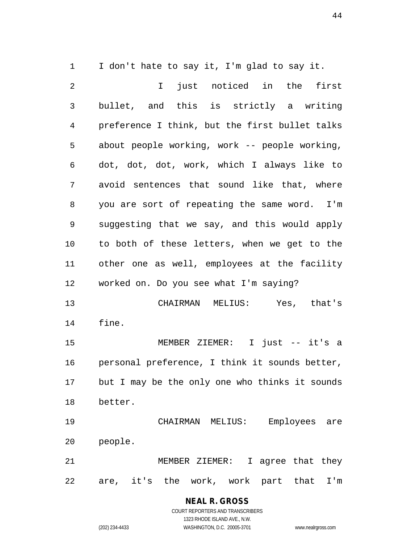I don't hate to say it, I'm glad to say it.

 I just noticed in the first bullet, and this is strictly a writing preference I think, but the first bullet talks about people working, work -- people working, dot, dot, dot, work, which I always like to avoid sentences that sound like that, where you are sort of repeating the same word. I'm suggesting that we say, and this would apply to both of these letters, when we get to the other one as well, employees at the facility worked on. Do you see what I'm saying? CHAIRMAN MELIUS: Yes, that's fine. MEMBER ZIEMER: I just -- it's a personal preference, I think it sounds better, but I may be the only one who thinks it sounds better. CHAIRMAN MELIUS: Employees are people. MEMBER ZIEMER: I agree that they are, it's the work, work part that I'm

## **NEAL R. GROSS**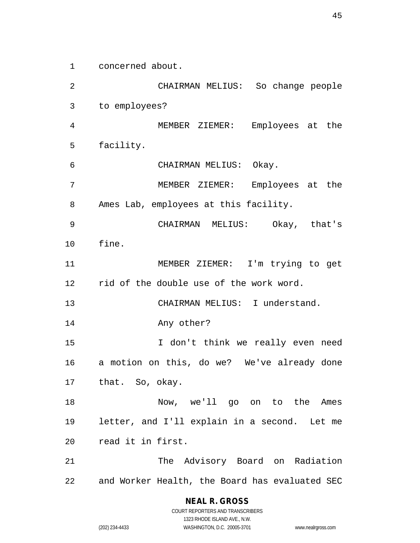concerned about.

 CHAIRMAN MELIUS: So change people to employees? MEMBER ZIEMER: Employees at the facility. CHAIRMAN MELIUS: Okay. MEMBER ZIEMER: Employees at the Ames Lab, employees at this facility. CHAIRMAN MELIUS: Okay, that's fine. MEMBER ZIEMER: I'm trying to get rid of the double use of the work word. CHAIRMAN MELIUS: I understand. Any other? I don't think we really even need a motion on this, do we? We've already done that. So, okay. Now, we'll go on to the Ames letter, and I'll explain in a second. Let me read it in first. The Advisory Board on Radiation and Worker Health, the Board has evaluated SEC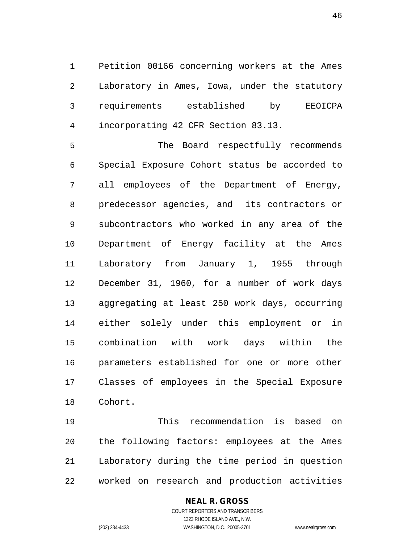Petition 00166 concerning workers at the Ames Laboratory in Ames, Iowa, under the statutory requirements established by EEOICPA incorporating 42 CFR Section 83.13.

 The Board respectfully recommends Special Exposure Cohort status be accorded to all employees of the Department of Energy, predecessor agencies, and its contractors or subcontractors who worked in any area of the Department of Energy facility at the Ames Laboratory from January 1, 1955 through December 31, 1960, for a number of work days aggregating at least 250 work days, occurring either solely under this employment or in combination with work days within the parameters established for one or more other Classes of employees in the Special Exposure Cohort.

 This recommendation is based on the following factors: employees at the Ames Laboratory during the time period in question worked on research and production activities

#### **NEAL R. GROSS**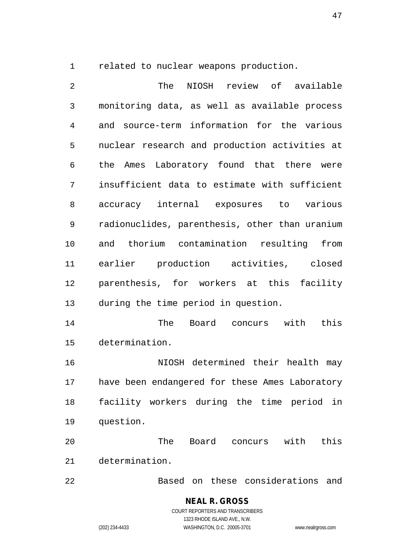related to nuclear weapons production.

 The NIOSH review of available monitoring data, as well as available process and source-term information for the various nuclear research and production activities at the Ames Laboratory found that there were insufficient data to estimate with sufficient accuracy internal exposures to various radionuclides, parenthesis, other than uranium and thorium contamination resulting from earlier production activities, closed parenthesis, for workers at this facility during the time period in question. The Board concurs with this determination. NIOSH determined their health may have been endangered for these Ames Laboratory facility workers during the time period in question. The Board concurs with this determination. Based on these considerations and

> **NEAL R. GROSS** COURT REPORTERS AND TRANSCRIBERS 1323 RHODE ISLAND AVE., N.W. (202) 234-4433 WASHINGTON, D.C. 20005-3701 www.nealrgross.com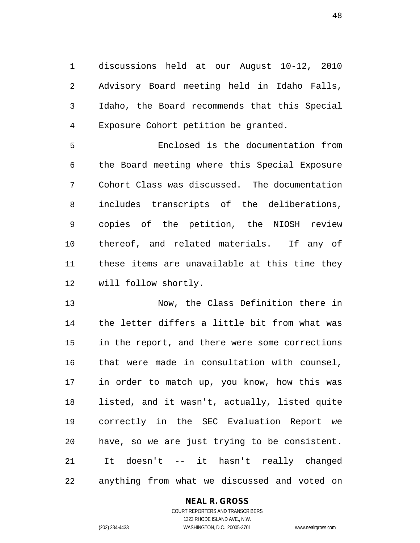discussions held at our August 10-12, 2010 Advisory Board meeting held in Idaho Falls, Idaho, the Board recommends that this Special Exposure Cohort petition be granted.

 Enclosed is the documentation from the Board meeting where this Special Exposure Cohort Class was discussed. The documentation includes transcripts of the deliberations, copies of the petition, the NIOSH review thereof, and related materials. If any of these items are unavailable at this time they will follow shortly.

 Now, the Class Definition there in the letter differs a little bit from what was in the report, and there were some corrections that were made in consultation with counsel, in order to match up, you know, how this was listed, and it wasn't, actually, listed quite correctly in the SEC Evaluation Report we have, so we are just trying to be consistent. It doesn't -- it hasn't really changed anything from what we discussed and voted on

#### **NEAL R. GROSS**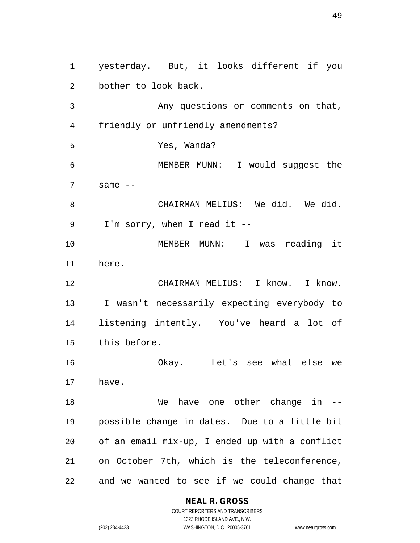yesterday. But, it looks different if you bother to look back. Any questions or comments on that, friendly or unfriendly amendments? Yes, Wanda? MEMBER MUNN: I would suggest the same  $-$  CHAIRMAN MELIUS: We did. We did. I'm sorry, when I read it -- MEMBER MUNN: I was reading it here. CHAIRMAN MELIUS: I know. I know. I wasn't necessarily expecting everybody to listening intently. You've heard a lot of this before. Okay. Let's see what else we have. 18 We have one other change in -- possible change in dates. Due to a little bit of an email mix-up, I ended up with a conflict on October 7th, which is the teleconference, and we wanted to see if we could change that

#### **NEAL R. GROSS**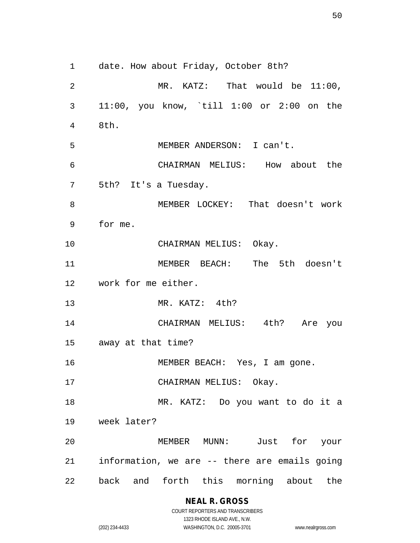date. How about Friday, October 8th? MR. KATZ: That would be 11:00, 11:00, you know, `till 1:00 or 2:00 on the 8th. MEMBER ANDERSON: I can't. CHAIRMAN MELIUS: How about the 5th? It's a Tuesday. MEMBER LOCKEY: That doesn't work for me. CHAIRMAN MELIUS: Okay. MEMBER BEACH: The 5th doesn't work for me either. MR. KATZ: 4th? CHAIRMAN MELIUS: 4th? Are you away at that time? 16 MEMBER BEACH: Yes, I am gone. 17 CHAIRMAN MELIUS: Okay. MR. KATZ: Do you want to do it a week later? MEMBER MUNN: Just for your information, we are -- there are emails going back and forth this morning about the

> **NEAL R. GROSS** COURT REPORTERS AND TRANSCRIBERS

1323 RHODE ISLAND AVE., N.W. (202) 234-4433 WASHINGTON, D.C. 20005-3701 www.nealrgross.com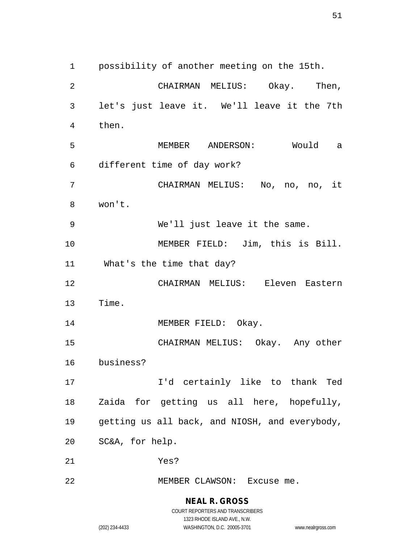possibility of another meeting on the 15th. CHAIRMAN MELIUS: Okay. Then, let's just leave it. We'll leave it the 7th then. MEMBER ANDERSON: Would a different time of day work? CHAIRMAN MELIUS: No, no, no, it won't. We'll just leave it the same. MEMBER FIELD: Jim, this is Bill. What's the time that day? CHAIRMAN MELIUS: Eleven Eastern Time. 14 MEMBER FIELD: Okay. CHAIRMAN MELIUS: Okay. Any other business? I'd certainly like to thank Ted Zaida for getting us all here, hopefully, getting us all back, and NIOSH, and everybody, SC&A, for help. Yes? 22 MEMBER CLAWSON: Excuse me.

> **NEAL R. GROSS** COURT REPORTERS AND TRANSCRIBERS 1323 RHODE ISLAND AVE., N.W.

(202) 234-4433 WASHINGTON, D.C. 20005-3701 www.nealrgross.com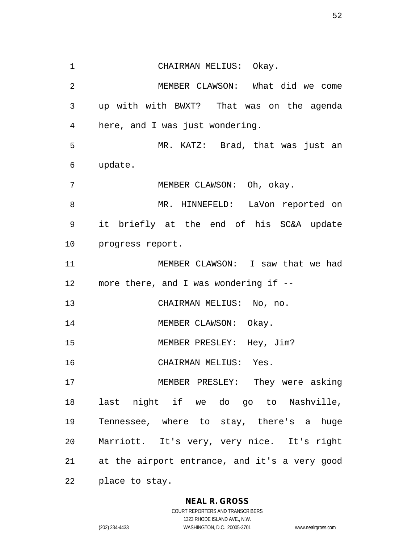CHAIRMAN MELIUS: Okay. MEMBER CLAWSON: What did we come up with with BWXT? That was on the agenda here, and I was just wondering. MR. KATZ: Brad, that was just an update. MEMBER CLAWSON: Oh, okay. MR. HINNEFELD: LaVon reported on it briefly at the end of his SC&A update progress report. MEMBER CLAWSON: I saw that we had more there, and I was wondering if -- CHAIRMAN MELIUS: No, no. 14 MEMBER CLAWSON: Okay. 15 MEMBER PRESLEY: Hey, Jim? CHAIRMAN MELIUS: Yes. MEMBER PRESLEY: They were asking last night if we do go to Nashville, Tennessee, where to stay, there's a huge Marriott. It's very, very nice. It's right at the airport entrance, and it's a very good place to stay.

#### **NEAL R. GROSS**

COURT REPORTERS AND TRANSCRIBERS 1323 RHODE ISLAND AVE., N.W. (202) 234-4433 WASHINGTON, D.C. 20005-3701 www.nealrgross.com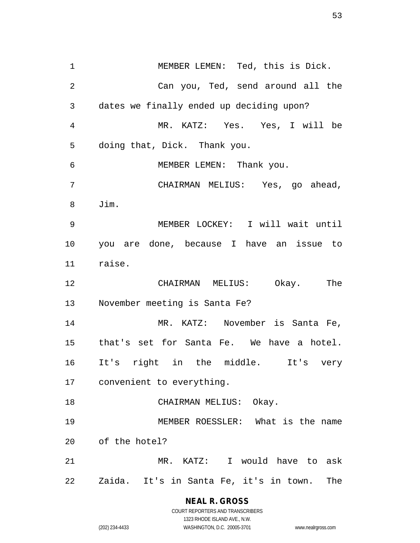MEMBER LEMEN: Ted, this is Dick. Can you, Ted, send around all the dates we finally ended up deciding upon? MR. KATZ: Yes. Yes, I will be doing that, Dick. Thank you. MEMBER LEMEN: Thank you. CHAIRMAN MELIUS: Yes, go ahead, Jim. MEMBER LOCKEY: I will wait until you are done, because I have an issue to raise. CHAIRMAN MELIUS: Okay. The November meeting is Santa Fe? MR. KATZ: November is Santa Fe, that's set for Santa Fe. We have a hotel. It's right in the middle. It's very convenient to everything. 18 CHAIRMAN MELIUS: Okay. MEMBER ROESSLER: What is the name of the hotel? MR. KATZ: I would have to ask Zaida. It's in Santa Fe, it's in town. The

#### **NEAL R. GROSS**

COURT REPORTERS AND TRANSCRIBERS 1323 RHODE ISLAND AVE., N.W. (202) 234-4433 WASHINGTON, D.C. 20005-3701 www.nealrgross.com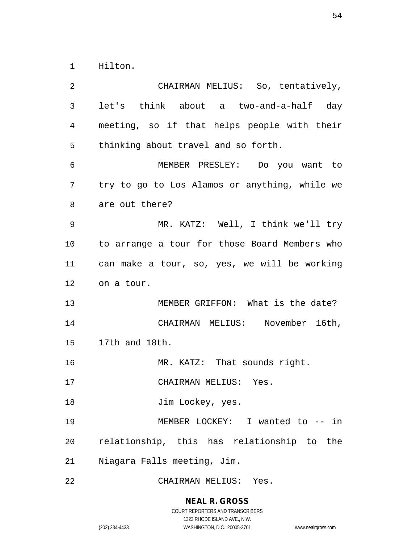Hilton.

 CHAIRMAN MELIUS: So, tentatively, let's think about a two-and-a-half day meeting, so if that helps people with their thinking about travel and so forth. MEMBER PRESLEY: Do you want to try to go to Los Alamos or anything, while we are out there? MR. KATZ: Well, I think we'll try to arrange a tour for those Board Members who can make a tour, so, yes, we will be working on a tour. MEMBER GRIFFON: What is the date? CHAIRMAN MELIUS: November 16th, 17th and 18th. MR. KATZ: That sounds right. CHAIRMAN MELIUS: Yes. 18 Jim Lockey, yes. MEMBER LOCKEY: I wanted to -- in relationship, this has relationship to the Niagara Falls meeting, Jim. CHAIRMAN MELIUS: Yes.

**NEAL R. GROSS**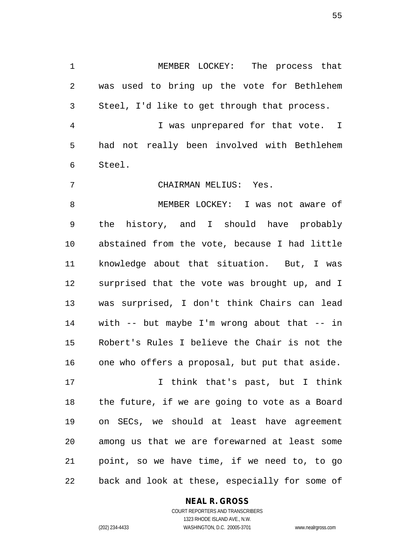MEMBER LOCKEY: The process that was used to bring up the vote for Bethlehem Steel, I'd like to get through that process.

 I was unprepared for that vote. I had not really been involved with Bethlehem Steel.

CHAIRMAN MELIUS: Yes.

 MEMBER LOCKEY: I was not aware of the history, and I should have probably abstained from the vote, because I had little knowledge about that situation. But, I was surprised that the vote was brought up, and I was surprised, I don't think Chairs can lead with -- but maybe I'm wrong about that -- in Robert's Rules I believe the Chair is not the one who offers a proposal, but put that aside.

 I think that's past, but I think the future, if we are going to vote as a Board on SECs, we should at least have agreement among us that we are forewarned at least some point, so we have time, if we need to, to go back and look at these, especially for some of

#### **NEAL R. GROSS**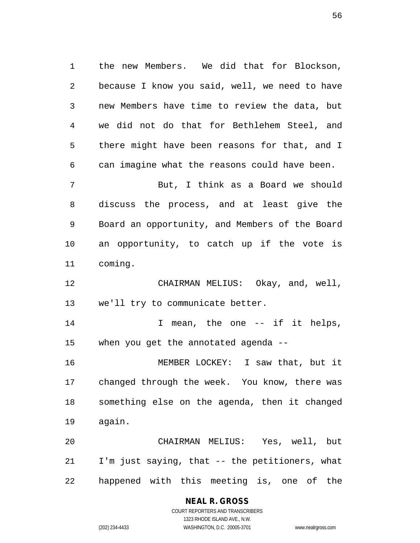the new Members. We did that for Blockson, because I know you said, well, we need to have new Members have time to review the data, but we did not do that for Bethlehem Steel, and there might have been reasons for that, and I can imagine what the reasons could have been.

 But, I think as a Board we should discuss the process, and at least give the Board an opportunity, and Members of the Board an opportunity, to catch up if the vote is coming.

 CHAIRMAN MELIUS: Okay, and, well, we'll try to communicate better.

14 14 I mean, the one -- if it helps, when you get the annotated agenda --

 MEMBER LOCKEY: I saw that, but it changed through the week. You know, there was something else on the agenda, then it changed again.

 CHAIRMAN MELIUS: Yes, well, but I'm just saying, that -- the petitioners, what happened with this meeting is, one of the

#### **NEAL R. GROSS**

COURT REPORTERS AND TRANSCRIBERS 1323 RHODE ISLAND AVE., N.W. (202) 234-4433 WASHINGTON, D.C. 20005-3701 www.nealrgross.com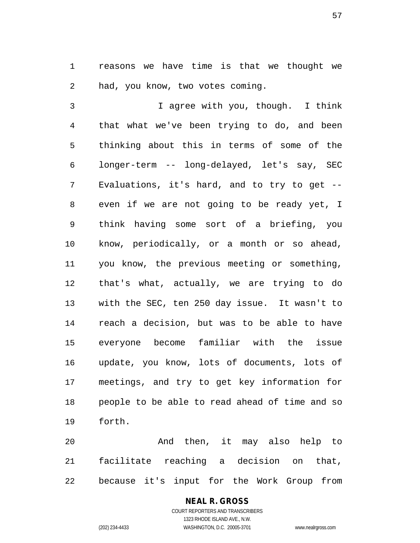reasons we have time is that we thought we had, you know, two votes coming.

 I agree with you, though. I think that what we've been trying to do, and been thinking about this in terms of some of the longer-term -- long-delayed, let's say, SEC Evaluations, it's hard, and to try to get -- even if we are not going to be ready yet, I think having some sort of a briefing, you know, periodically, or a month or so ahead, you know, the previous meeting or something, that's what, actually, we are trying to do with the SEC, ten 250 day issue. It wasn't to reach a decision, but was to be able to have everyone become familiar with the issue update, you know, lots of documents, lots of meetings, and try to get key information for people to be able to read ahead of time and so forth.

 And then, it may also help to facilitate reaching a decision on that, because it's input for the Work Group from

#### **NEAL R. GROSS** COURT REPORTERS AND TRANSCRIBERS

1323 RHODE ISLAND AVE., N.W. (202) 234-4433 WASHINGTON, D.C. 20005-3701 www.nealrgross.com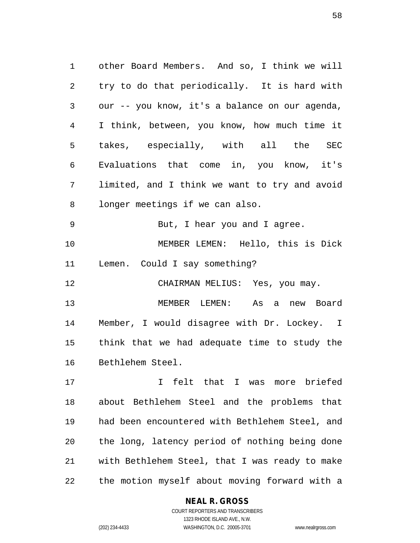other Board Members. And so, I think we will try to do that periodically. It is hard with our -- you know, it's a balance on our agenda, I think, between, you know, how much time it takes, especially, with all the SEC Evaluations that come in, you know, it's limited, and I think we want to try and avoid longer meetings if we can also. But, I hear you and I agree. MEMBER LEMEN: Hello, this is Dick Lemen. Could I say something? 12 CHAIRMAN MELIUS: Yes, you may. MEMBER LEMEN: As a new Board Member, I would disagree with Dr. Lockey. I think that we had adequate time to study the

Bethlehem Steel.

 I felt that I was more briefed about Bethlehem Steel and the problems that had been encountered with Bethlehem Steel, and the long, latency period of nothing being done with Bethlehem Steel, that I was ready to make the motion myself about moving forward with a

#### **NEAL R. GROSS**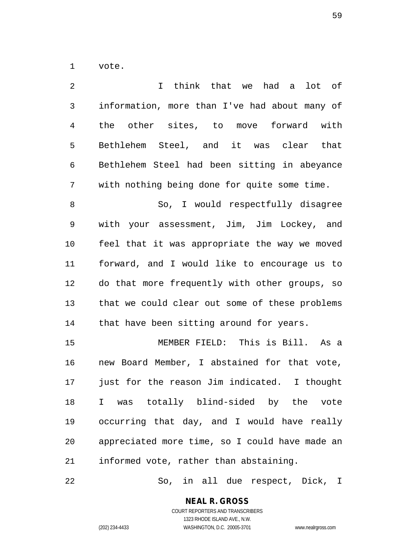vote.

| I think that we had a lot of                   |
|------------------------------------------------|
| information, more than I've had about many of  |
| the other sites, to move forward with          |
| Bethlehem Steel, and it was clear that         |
| Bethlehem Steel had been sitting in abeyance   |
| with nothing being done for quite some time.   |
| So, I would respectfully disagree              |
| with your assessment, Jim, Jim Lockey, and     |
| feel that it was appropriate the way we moved  |
| forward, and I would like to encourage us to   |
| do that more frequently with other groups, so  |
| that we could clear out some of these problems |
| that have been sitting around for years.       |
| MEMBER FIELD: This is Bill. As a               |
| new Board Member, I abstained for that vote,   |
| just for the reason Jim indicated. I thought   |
| I was totally blind-sided by the vote          |
| occurring that day, and I would have really    |
| appreciated more time, so I could have made an |
| informed vote, rather than abstaining.         |
|                                                |

So, in all due respect, Dick, I

**NEAL R. GROSS** COURT REPORTERS AND TRANSCRIBERS

1323 RHODE ISLAND AVE., N.W.

(202) 234-4433 WASHINGTON, D.C. 20005-3701 www.nealrgross.com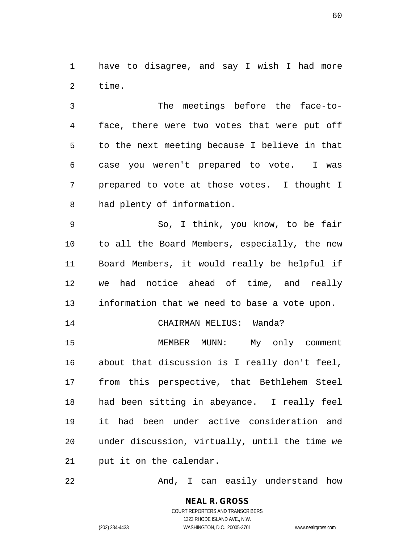have to disagree, and say I wish I had more time.

 The meetings before the face-to- face, there were two votes that were put off to the next meeting because I believe in that case you weren't prepared to vote. I was prepared to vote at those votes. I thought I had plenty of information.

 So, I think, you know, to be fair to all the Board Members, especially, the new Board Members, it would really be helpful if we had notice ahead of time, and really information that we need to base a vote upon.

14 CHAIRMAN MELIUS: Wanda?

15 MEMBER MUNN: My only comment about that discussion is I really don't feel, from this perspective, that Bethlehem Steel had been sitting in abeyance. I really feel it had been under active consideration and under discussion, virtually, until the time we put it on the calendar.

22 And, I can easily understand how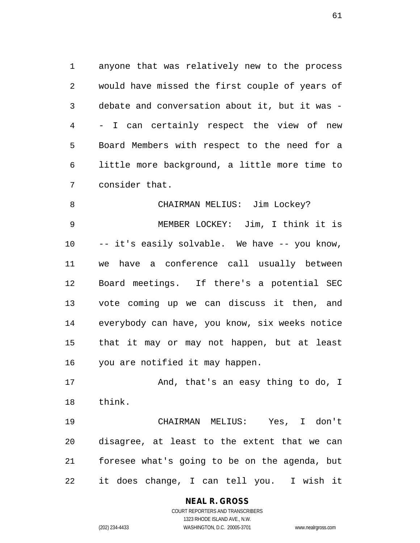anyone that was relatively new to the process would have missed the first couple of years of debate and conversation about it, but it was - - I can certainly respect the view of new Board Members with respect to the need for a little more background, a little more time to consider that.

8 CHAIRMAN MELIUS: Jim Lockey? MEMBER LOCKEY: Jim, I think it is -- it's easily solvable. We have -- you know, we have a conference call usually between Board meetings. If there's a potential SEC vote coming up we can discuss it then, and everybody can have, you know, six weeks notice that it may or may not happen, but at least you are notified it may happen.

17 And, that's an easy thing to do, I think.

 CHAIRMAN MELIUS: Yes, I don't disagree, at least to the extent that we can foresee what's going to be on the agenda, but it does change, I can tell you. I wish it

#### **NEAL R. GROSS**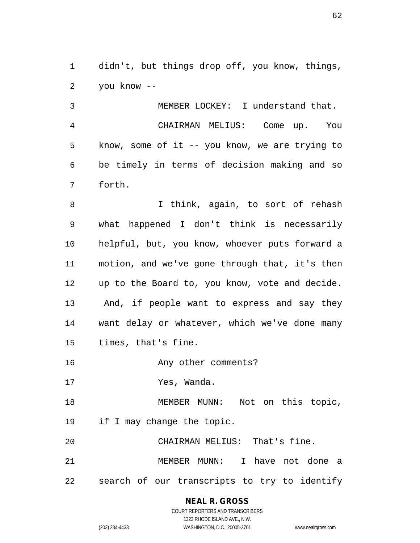didn't, but things drop off, you know, things, you know --

 MEMBER LOCKEY: I understand that. CHAIRMAN MELIUS: Come up. You know, some of it -- you know, we are trying to be timely in terms of decision making and so forth.

 I think, again, to sort of rehash what happened I don't think is necessarily helpful, but, you know, whoever puts forward a motion, and we've gone through that, it's then up to the Board to, you know, vote and decide. And, if people want to express and say they want delay or whatever, which we've done many times, that's fine.

**Any other comments?** 

Yes, Wanda.

18 MEMBER MUNN: Not on this topic, if I may change the topic.

CHAIRMAN MELIUS: That's fine.

 MEMBER MUNN: I have not done a search of our transcripts to try to identify

> **NEAL R. GROSS** COURT REPORTERS AND TRANSCRIBERS

> > 1323 RHODE ISLAND AVE., N.W.

(202) 234-4433 WASHINGTON, D.C. 20005-3701 www.nealrgross.com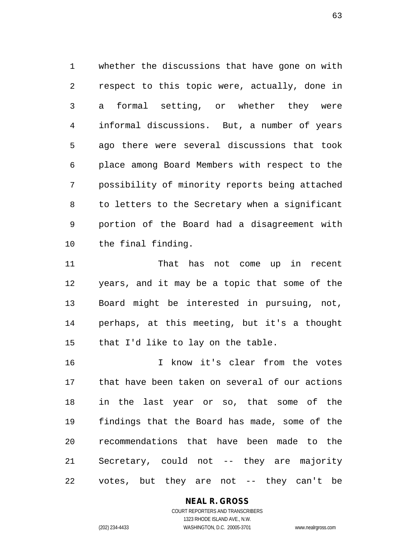whether the discussions that have gone on with respect to this topic were, actually, done in a formal setting, or whether they were informal discussions. But, a number of years ago there were several discussions that took place among Board Members with respect to the possibility of minority reports being attached to letters to the Secretary when a significant portion of the Board had a disagreement with the final finding.

 That has not come up in recent years, and it may be a topic that some of the Board might be interested in pursuing, not, perhaps, at this meeting, but it's a thought that I'd like to lay on the table.

 I know it's clear from the votes that have been taken on several of our actions in the last year or so, that some of the findings that the Board has made, some of the recommendations that have been made to the Secretary, could not -- they are majority votes, but they are not -- they can't be

#### **NEAL R. GROSS**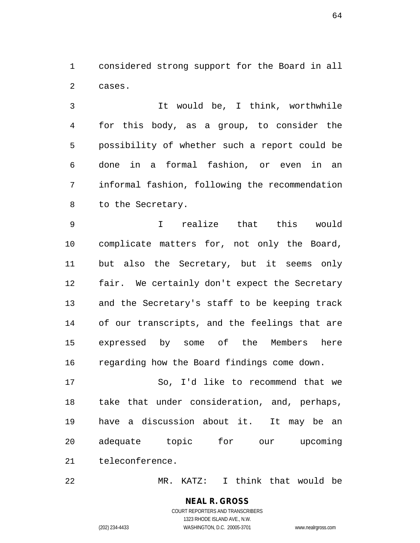considered strong support for the Board in all cases.

 It would be, I think, worthwhile for this body, as a group, to consider the possibility of whether such a report could be done in a formal fashion, or even in an informal fashion, following the recommendation to the Secretary.

 I realize that this would complicate matters for, not only the Board, but also the Secretary, but it seems only fair. We certainly don't expect the Secretary and the Secretary's staff to be keeping track of our transcripts, and the feelings that are expressed by some of the Members here regarding how the Board findings come down.

 So, I'd like to recommend that we take that under consideration, and, perhaps, have a discussion about it. It may be an adequate topic for our upcoming teleconference.

MR. KATZ: I think that would be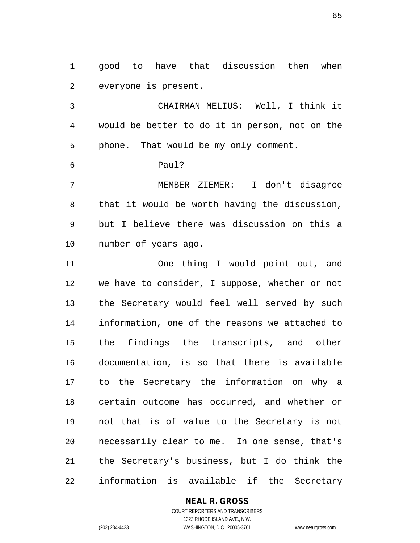good to have that discussion then when everyone is present.

 CHAIRMAN MELIUS: Well, I think it would be better to do it in person, not on the phone. That would be my only comment.

Paul?

 MEMBER ZIEMER: I don't disagree that it would be worth having the discussion, but I believe there was discussion on this a number of years ago.

 One thing I would point out, and we have to consider, I suppose, whether or not the Secretary would feel well served by such information, one of the reasons we attached to the findings the transcripts, and other documentation, is so that there is available to the Secretary the information on why a certain outcome has occurred, and whether or not that is of value to the Secretary is not necessarily clear to me. In one sense, that's the Secretary's business, but I do think the information is available if the Secretary

#### **NEAL R. GROSS**

COURT REPORTERS AND TRANSCRIBERS 1323 RHODE ISLAND AVE., N.W. (202) 234-4433 WASHINGTON, D.C. 20005-3701 www.nealrgross.com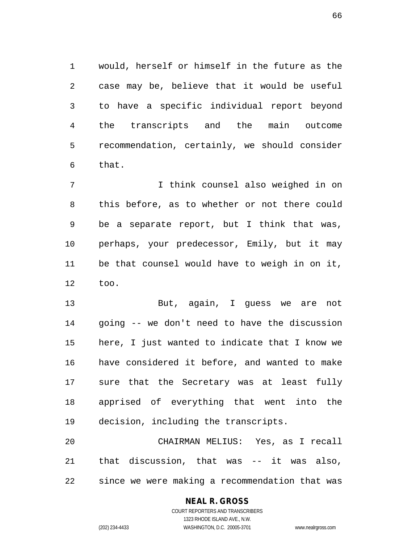would, herself or himself in the future as the case may be, believe that it would be useful to have a specific individual report beyond the transcripts and the main outcome recommendation, certainly, we should consider that.

 I think counsel also weighed in on this before, as to whether or not there could be a separate report, but I think that was, perhaps, your predecessor, Emily, but it may be that counsel would have to weigh in on it, too.

 But, again, I guess we are not going -- we don't need to have the discussion here, I just wanted to indicate that I know we have considered it before, and wanted to make sure that the Secretary was at least fully apprised of everything that went into the decision, including the transcripts.

 CHAIRMAN MELIUS: Yes, as I recall that discussion, that was -- it was also, since we were making a recommendation that was

#### **NEAL R. GROSS**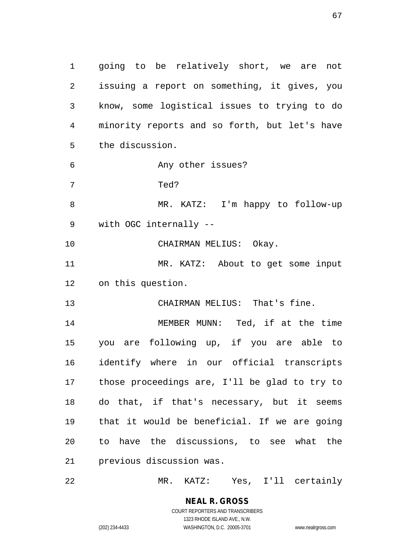going to be relatively short, we are not issuing a report on something, it gives, you know, some logistical issues to trying to do minority reports and so forth, but let's have the discussion. Any other issues? Ted? MR. KATZ: I'm happy to follow-up with OGC internally -- CHAIRMAN MELIUS: Okay. MR. KATZ: About to get some input on this question. CHAIRMAN MELIUS: That's fine. MEMBER MUNN: Ted, if at the time you are following up, if you are able to identify where in our official transcripts those proceedings are, I'll be glad to try to do that, if that's necessary, but it seems that it would be beneficial. If we are going to have the discussions, to see what the previous discussion was.

MR. KATZ: Yes, I'll certainly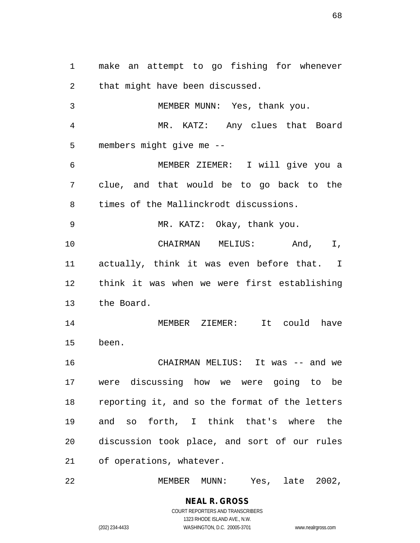make an attempt to go fishing for whenever that might have been discussed. MEMBER MUNN: Yes, thank you.

 MR. KATZ: Any clues that Board members might give me --

 MEMBER ZIEMER: I will give you a clue, and that would be to go back to the times of the Mallinckrodt discussions.

MR. KATZ: Okay, thank you.

 CHAIRMAN MELIUS: And, I, actually, think it was even before that. I think it was when we were first establishing the Board.

 MEMBER ZIEMER: It could have been.

 CHAIRMAN MELIUS: It was -- and we were discussing how we were going to be reporting it, and so the format of the letters and so forth, I think that's where the discussion took place, and sort of our rules of operations, whatever.

MEMBER MUNN: Yes, late 2002,